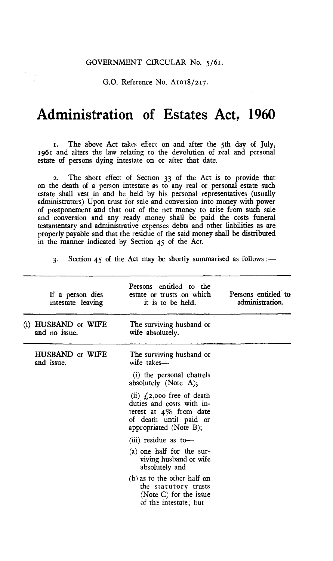## GOVERNMENT CIRCULAR No. 5/61.

G.O. Reference No. A1018/217.

 $\bar{f}$  .

## **Administration of Estates Act, 1960**

t. The above Act takes effect on and after the 5th day of July, 1961 and alters the law relating to the devolution of real and personal estate of persons dying intestate on or after that date.

2. The short effect of Section 33 of the Act is to provide that on the death of a person intestate as to any real or personal estate such estate shall vest in and be held by his personal representatives (usually administrators) Upon trust for sale and conversion into money with power of postponement and that out of the net money to arise from such sale and conversion and any ready money shall be paid the costs funeral testamentary and administrative expenses debts and other liabilities as are properly payable and that the residue of the said money shall be distributed in the manner indicated by Section 45 of the Act.

3. Section 45 of the Act may be shortly summarised as follows : —

| If a person dies<br>intestate leaving | Persons entitled to the<br>estate or trusts on which<br>it is to be held.                                                                    | Persons entitled to<br>administration. |
|---------------------------------------|----------------------------------------------------------------------------------------------------------------------------------------------|----------------------------------------|
| (i) HUSBAND or WIFE<br>and no issue.  | The surviving husband or<br>wife absolutely.                                                                                                 |                                        |
| HUSBAND or WIFE<br>and issue.         | The surviving husband or<br>wife takes-                                                                                                      |                                        |
|                                       | (i) the personal chattels<br>absolutely (Note $A$ );                                                                                         |                                        |
|                                       | (ii) $f(z)$ ,000 free of death<br>duties and costs with in-<br>terest at $4\%$ from date<br>of death until paid or<br>appropriated (Note B); |                                        |
|                                       | $(iii)$ residue as to-                                                                                                                       |                                        |
|                                       | (a) one half for the sur-<br>viving husband or wife<br>absolutely and                                                                        |                                        |
|                                       | $(b)$ as to the other half on<br>the statutory trusts<br>(Note C) for the issue<br>of the intestate; but                                     |                                        |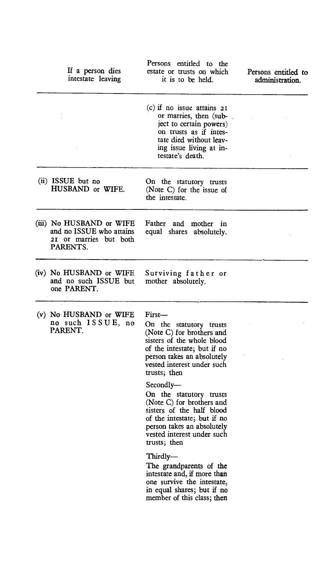|  | If a person dies<br>intestate leaving                                                      | Persons entitled to the<br>estate or trusts on which<br>it is to be held.                                                                                                                                 | Persons entitled to<br>administration. |
|--|--------------------------------------------------------------------------------------------|-----------------------------------------------------------------------------------------------------------------------------------------------------------------------------------------------------------|----------------------------------------|
|  |                                                                                            | $(c)$ if no issue attains $2I$<br>or marries, then (sub-<br>ject to certain powers)<br>on trusts as if intes-<br>tate died without leav-<br>ing issue living at in-<br>testate's death.                   |                                        |
|  | $(ii)$ ISSUE but no<br>HUSBAND or WIFE.                                                    | On the statutory trusts<br>(Note C) for the issue of<br>the intestate.                                                                                                                                    |                                        |
|  | (iii) No HUSBAND or WIFE<br>and no ISSUE who attains<br>21 or marries but both<br>PARENTS. | Father and mother in<br>equal shares absolutely.                                                                                                                                                          |                                        |
|  | (iv) No HUSBAND or WIFE<br>and no such ISSUE but<br>one PARENT.                            | Surviving father or<br>mother absolutely.                                                                                                                                                                 |                                        |
|  | (v) No HUSBAND or WIFE<br>no such ISSUE, no<br>PARENT.                                     | First-<br>On the statutory trusts<br>(Note C) for brothers and<br>sisters of the whole blood<br>of the intestate; but if no<br>person takes an absolutely<br>vested interest under such<br>trusts; then   |                                        |
|  |                                                                                            | Secondly-<br>On the statutory trusts<br>(Note C) for brothers and<br>sisters of the half blood<br>of the intestate; but if no<br>person takes an absolutely<br>vested interest under such<br>trusts; then |                                        |
|  |                                                                                            | Thirdly-<br>The grandparents of the<br>intestate and, if more than<br>one survive the intestate,<br>in equal shares; but if no<br>member of this class; then                                              |                                        |